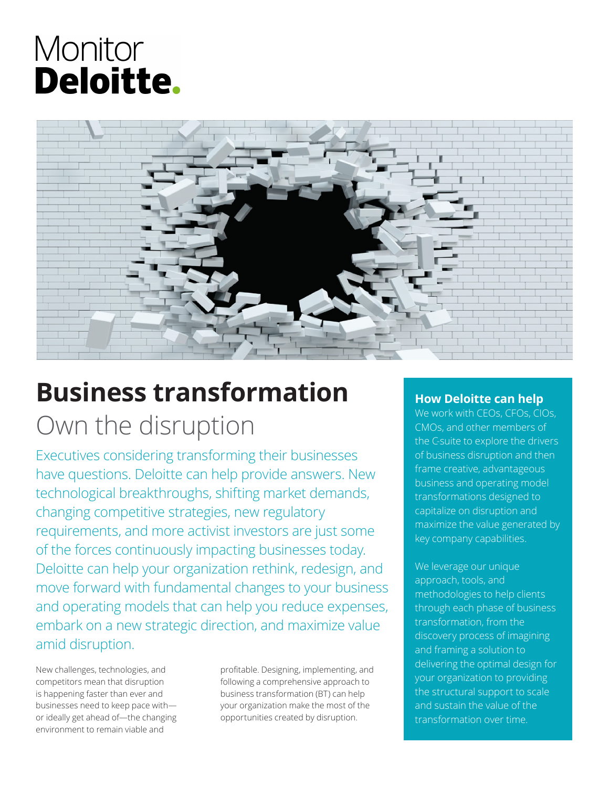# Monitor **Deloitte.**



## **Business transformation** Own the disruption

Executives considering transforming their businesses have questions. Deloitte can help provide answers. New technological breakthroughs, shifting market demands, changing competitive strategies, new regulatory requirements, and more activist investors are just some of the forces continuously impacting businesses today. Deloitte can help your organization rethink, redesign, and move forward with fundamental changes to your business and operating models that can help you reduce expenses, embark on a new strategic direction, and maximize value amid disruption.

New challenges, technologies, and competitors mean that disruption is happening faster than ever and businesses need to keep pace with or ideally get ahead of—the changing environment to remain viable and

profitable. Designing, implementing, and following a comprehensive approach to business transformation (BT) can help your organization make the most of the opportunities created by disruption.

## **How Deloitte can help**

We work with CEOs, CFOs, CIOs, CMOs, and other members of the C-suite to explore the drivers of business disruption and then frame creative, advantageous business and operating model transformations designed to capitalize on disruption and maximize the value generated by key company capabilities.

We leverage our unique approach, tools, and methodologies to help clients through each phase of business transformation, from the discovery process of imagining and framing a solution to delivering the optimal design for your organization to providing the structural support to scale and sustain the value of the transformation over time.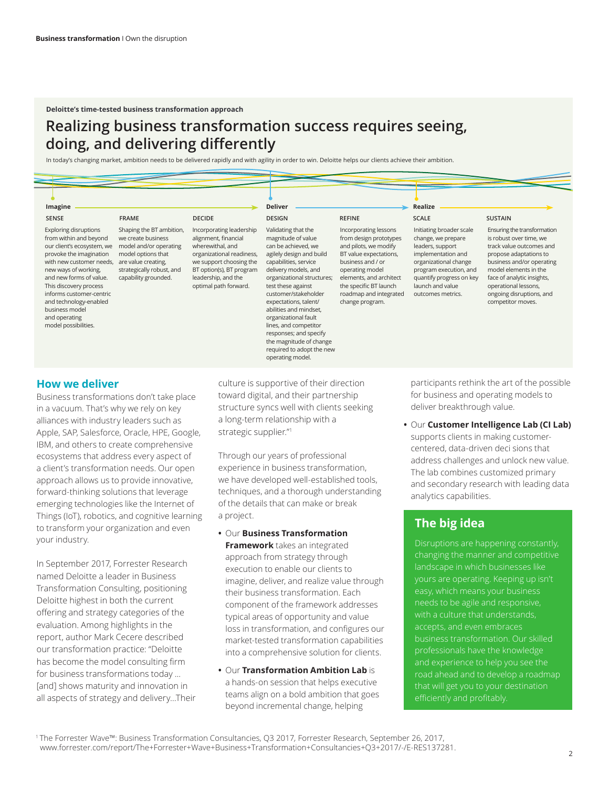## **Realizing business transformation success requires seeing, doing, and delivering differently**

In today's changing market, ambition needs to be delivered rapidly and with agility in order to win. Deloitte helps our clients achieve their ambition.

| Imagine<br><b>SENSE</b><br><b>FRAME</b><br><b>DECIDE</b>                                                                                                                                                                                                                                                                                  |                                                                                                                                                                            |                                                                                                                                                                                                          | <b>Deliver</b><br><b>DESIGN</b><br><b>REFINE</b>                                                                                                                                                                                                                                                                                                                                                                |                                                                                                                                                                                                                                              | Realize<br><b>SCALE</b><br><b>SUSTAIN</b>                                                                                                                                                                        |                                                                                                                                                                                                                                                                           |
|-------------------------------------------------------------------------------------------------------------------------------------------------------------------------------------------------------------------------------------------------------------------------------------------------------------------------------------------|----------------------------------------------------------------------------------------------------------------------------------------------------------------------------|----------------------------------------------------------------------------------------------------------------------------------------------------------------------------------------------------------|-----------------------------------------------------------------------------------------------------------------------------------------------------------------------------------------------------------------------------------------------------------------------------------------------------------------------------------------------------------------------------------------------------------------|----------------------------------------------------------------------------------------------------------------------------------------------------------------------------------------------------------------------------------------------|------------------------------------------------------------------------------------------------------------------------------------------------------------------------------------------------------------------|---------------------------------------------------------------------------------------------------------------------------------------------------------------------------------------------------------------------------------------------------------------------------|
| <b>Exploring disruptions</b><br>from within and beyond<br>our client's ecosystem, we<br>provoke the imagination<br>with new customer needs,<br>new ways of working,<br>and new forms of value.<br>This discovery process<br>informs customer-centric<br>and technology-enabled<br>business model<br>and operating<br>model possibilities. | Shaping the BT ambition,<br>we create business<br>model and/or operating<br>model options that<br>are value creating,<br>strategically robust, and<br>capability grounded. | Incorporating leadership<br>alignment, financial<br>wherewithal, and<br>organizational readiness,<br>we support choosing the<br>BT option(s), BT program<br>leadership, and the<br>optimal path forward. | Validating that the<br>magnitude of value<br>can be achieved, we<br>agilely design and build<br>capabilities, service<br>delivery models, and<br>organizational structures;<br>test these against<br>customer/stakeholder<br>expectations, talent/<br>abilities and mindset,<br>organizational fault<br>lines, and competitor<br>responses; and specify<br>the magnitude of change<br>required to adopt the new | Incorporating lessons<br>from design prototypes<br>and pilots, we modify<br>BT value expectations,<br>business and / or<br>operating model<br>elements, and architect<br>the specific BT launch<br>roadmap and integrated<br>change program. | Initiating broader scale<br>change, we prepare<br>leaders, support<br>implementation and<br>organizational change<br>program execution, and<br>quantify progress on key<br>launch and value<br>outcomes metrics. | Ensuring the transformation<br>is robust over time, we<br>track value outcomes and<br>propose adaptations to<br>business and/or operating<br>model elements in the<br>face of analytic insights,<br>operational lessons,<br>ongoing disruptions, and<br>competitor moves. |

#### **How we deliver**

Business transformations don't take place in a vacuum. That's why we rely on key alliances with industry leaders such as Apple, SAP, Salesforce, Oracle, HPE, Google, IBM, and others to create comprehensive ecosystems that address every aspect of a client's transformation needs. Our open approach allows us to provide innovative, forward-thinking solutions that leverage emerging technologies like the Internet of Things (IoT), robotics, and cognitive learning to transform your organization and even your industry.

In September 2017, Forrester Research named Deloitte a leader in Business Transformation Consulting, positioning Deloitte highest in both the current offering and strategy categories of the evaluation. Among highlights in the report, author Mark Cecere described our transformation practice: "Deloitte has become the model consulting firm for business transformations today ... [and] shows maturity and innovation in all aspects of strategy and delivery…Their

culture is supportive of their direction toward digital, and their partnership structure syncs well with clients seeking a long-term relationship with a strategic supplier."1

operating model.

Through our years of professional experience in business transformation, we have developed well-established tools, techniques, and a thorough understanding of the details that can make or break a project.

**•** Our **Business Transformation Framework** takes an integrated approach from strategy through execution to enable our clients to imagine, deliver, and realize value through their business transformation. Each component of the framework addresses typical areas of opportunity and value loss in transformation, and configures our market-tested transformation capabilities into a comprehensive solution for clients.

**•** Our **Transformation Ambition Lab** is a hands-on session that helps executive teams align on a bold ambition that goes beyond incremental change, helping

participants rethink the art of the possible for business and operating models to deliver breakthrough value.

**•** Our **Customer Intelligence Lab (CI Lab)** supports clients in making customercentered, data-driven deci sions that address challenges and unlock new value. The lab combines customized primary and secondary research with leading data analytics capabilities.

## **The big idea**

Disruptions are happening constantly, changing the manner and competitive landscape in which businesses like yours are operating. Keeping up isn't needs to be agile and responsive, with a culture that understands, accepts, and even embraces business transformation. Our skilled professionals have the knowledge and experience to help you see the road ahead and to develop a roadmap that will get you to your destination

1 The Forrester Wave™: Business Transformation Consultancies, Q3 2017*,* Forrester Research, September 26, 2017, www.forrester.com/report/The+Forrester+Wave+Business+Transformation+Consultancies+Q3+2017/-/E-RES137281.